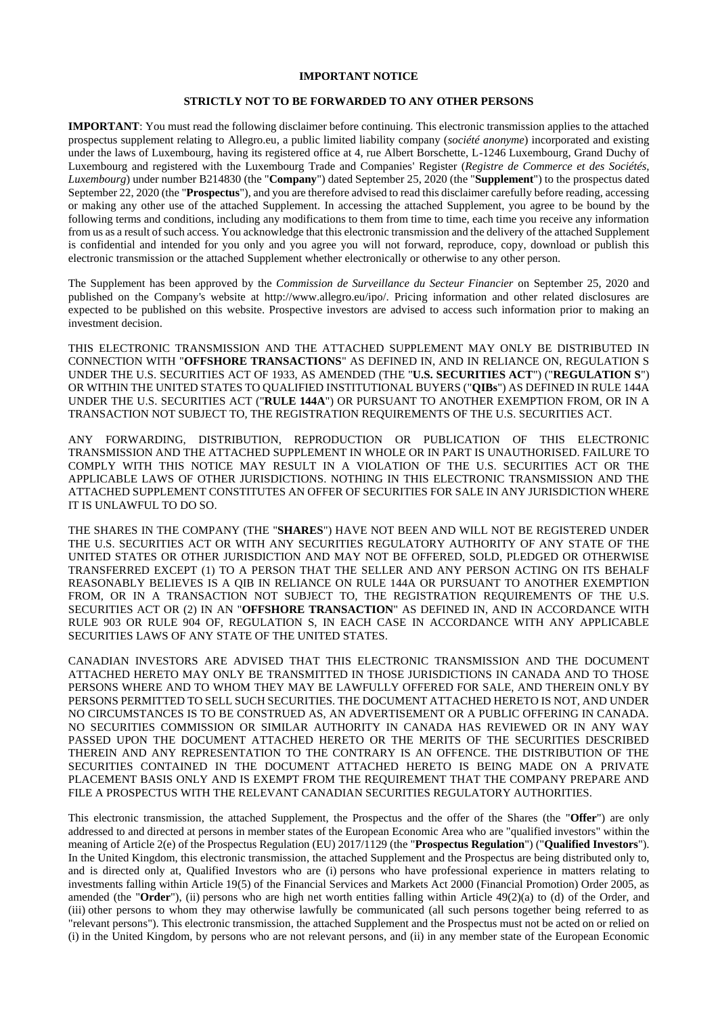## **IMPORTANT NOTICE**

### **STRICTLY NOT TO BE FORWARDED TO ANY OTHER PERSONS**

**IMPORTANT**: You must read the following disclaimer before continuing. This electronic transmission applies to the attached prospectus supplement relating to Allegro.eu, a public limited liability company (*société anonyme*) incorporated and existing under the laws of Luxembourg, having its registered office at 4, rue Albert Borschette, L-1246 Luxembourg, Grand Duchy of Luxembourg and registered with the Luxembourg Trade and Companies' Register (*Registre de Commerce et des Sociétés, Luxembourg*) under number B214830 (the "**Company**") dated September 25, 2020 (the "**Supplement**") to the prospectus dated September 22, 2020 (the "**Prospectus**"), and you are therefore advised to read this disclaimer carefully before reading, accessing or making any other use of the attached Supplement. In accessing the attached Supplement, you agree to be bound by the following terms and conditions, including any modifications to them from time to time, each time you receive any information from us as a result of such access. You acknowledge that this electronic transmission and the delivery of the attached Supplement is confidential and intended for you only and you agree you will not forward, reproduce, copy, download or publish this electronic transmission or the attached Supplement whether electronically or otherwise to any other person.

The Supplement has been approved by the *Commission de Surveillance du Secteur Financier* on September 25, 2020 and published on the Company's website at http://www.allegro.eu/ipo/. Pricing information and other related disclosures are expected to be published on this website. Prospective investors are advised to access such information prior to making an investment decision.

THIS ELECTRONIC TRANSMISSION AND THE ATTACHED SUPPLEMENT MAY ONLY BE DISTRIBUTED IN CONNECTION WITH "**OFFSHORE TRANSACTIONS**" AS DEFINED IN, AND IN RELIANCE ON, REGULATION S UNDER THE U.S. SECURITIES ACT OF 1933, AS AMENDED (THE "**U.S. SECURITIES ACT**") ("**REGULATION S**") OR WITHIN THE UNITED STATES TO QUALIFIED INSTITUTIONAL BUYERS ("**QIBs**") AS DEFINED IN RULE 144A UNDER THE U.S. SECURITIES ACT ("**RULE 144A**") OR PURSUANT TO ANOTHER EXEMPTION FROM, OR IN A TRANSACTION NOT SUBJECT TO, THE REGISTRATION REQUIREMENTS OF THE U.S. SECURITIES ACT.

ANY FORWARDING, DISTRIBUTION, REPRODUCTION OR PUBLICATION OF THIS ELECTRONIC TRANSMISSION AND THE ATTACHED SUPPLEMENT IN WHOLE OR IN PART IS UNAUTHORISED. FAILURE TO COMPLY WITH THIS NOTICE MAY RESULT IN A VIOLATION OF THE U.S. SECURITIES ACT OR THE APPLICABLE LAWS OF OTHER JURISDICTIONS. NOTHING IN THIS ELECTRONIC TRANSMISSION AND THE ATTACHED SUPPLEMENT CONSTITUTES AN OFFER OF SECURITIES FOR SALE IN ANY JURISDICTION WHERE IT IS UNLAWFUL TO DO SO.

THE SHARES IN THE COMPANY (THE "**SHARES**") HAVE NOT BEEN AND WILL NOT BE REGISTERED UNDER THE U.S. SECURITIES ACT OR WITH ANY SECURITIES REGULATORY AUTHORITY OF ANY STATE OF THE UNITED STATES OR OTHER JURISDICTION AND MAY NOT BE OFFERED, SOLD, PLEDGED OR OTHERWISE TRANSFERRED EXCEPT (1) TO A PERSON THAT THE SELLER AND ANY PERSON ACTING ON ITS BEHALF REASONABLY BELIEVES IS A QIB IN RELIANCE ON RULE 144A OR PURSUANT TO ANOTHER EXEMPTION FROM, OR IN A TRANSACTION NOT SUBJECT TO, THE REGISTRATION REQUIREMENTS OF THE U.S. SECURITIES ACT OR (2) IN AN "**OFFSHORE TRANSACTION**" AS DEFINED IN, AND IN ACCORDANCE WITH RULE 903 OR RULE 904 OF, REGULATION S, IN EACH CASE IN ACCORDANCE WITH ANY APPLICABLE SECURITIES LAWS OF ANY STATE OF THE UNITED STATES.

CANADIAN INVESTORS ARE ADVISED THAT THIS ELECTRONIC TRANSMISSION AND THE DOCUMENT ATTACHED HERETO MAY ONLY BE TRANSMITTED IN THOSE JURISDICTIONS IN CANADA AND TO THOSE PERSONS WHERE AND TO WHOM THEY MAY BE LAWFULLY OFFERED FOR SALE, AND THEREIN ONLY BY PERSONS PERMITTED TO SELL SUCH SECURITIES. THE DOCUMENT ATTACHED HERETO IS NOT, AND UNDER NO CIRCUMSTANCES IS TO BE CONSTRUED AS, AN ADVERTISEMENT OR A PUBLIC OFFERING IN CANADA. NO SECURITIES COMMISSION OR SIMILAR AUTHORITY IN CANADA HAS REVIEWED OR IN ANY WAY PASSED UPON THE DOCUMENT ATTACHED HERETO OR THE MERITS OF THE SECURITIES DESCRIBED THEREIN AND ANY REPRESENTATION TO THE CONTRARY IS AN OFFENCE. THE DISTRIBUTION OF THE SECURITIES CONTAINED IN THE DOCUMENT ATTACHED HERETO IS BEING MADE ON A PRIVATE PLACEMENT BASIS ONLY AND IS EXEMPT FROM THE REQUIREMENT THAT THE COMPANY PREPARE AND FILE A PROSPECTUS WITH THE RELEVANT CANADIAN SECURITIES REGULATORY AUTHORITIES.

This electronic transmission, the attached Supplement, the Prospectus and the offer of the Shares (the "**Offer**") are only addressed to and directed at persons in member states of the European Economic Area who are "qualified investors" within the meaning of Article 2(e) of the Prospectus Regulation (EU) 2017/1129 (the "**Prospectus Regulation**") ("**Qualified Investors**"). In the United Kingdom, this electronic transmission, the attached Supplement and the Prospectus are being distributed only to, and is directed only at, Qualified Investors who are (i) persons who have professional experience in matters relating to investments falling within Article 19(5) of the Financial Services and Markets Act 2000 (Financial Promotion) Order 2005, as amended (the "**Order**"), (ii) persons who are high net worth entities falling within Article 49(2)(a) to (d) of the Order, and (iii) other persons to whom they may otherwise lawfully be communicated (all such persons together being referred to as "relevant persons"). This electronic transmission, the attached Supplement and the Prospectus must not be acted on or relied on (i) in the United Kingdom, by persons who are not relevant persons, and (ii) in any member state of the European Economic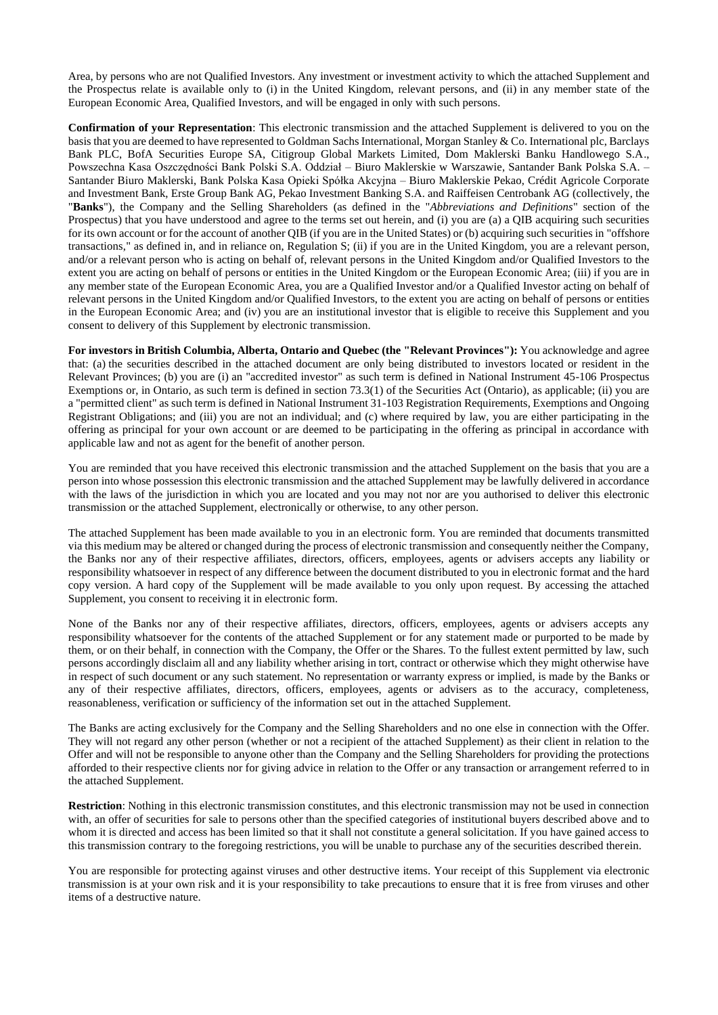Area, by persons who are not Qualified Investors. Any investment or investment activity to which the attached Supplement and the Prospectus relate is available only to (i) in the United Kingdom, relevant persons, and (ii) in any member state of the European Economic Area, Qualified Investors, and will be engaged in only with such persons.

**Confirmation of your Representation**: This electronic transmission and the attached Supplement is delivered to you on the basis that you are deemed to have represented to Goldman Sachs International, Morgan Stanley & Co. International plc, Barclays Bank PLC, BofA Securities Europe SA, Citigroup Global Markets Limited, Dom Maklerski Banku Handlowego S.A., Powszechna Kasa Oszczędności Bank Polski S.A. Oddział – Biuro Maklerskie w Warszawie, Santander Bank Polska S.A. – Santander Biuro Maklerski, Bank Polska Kasa Opieki Spółka Akcyjna – Biuro Maklerskie Pekao, Crédit Agricole Corporate and Investment Bank, Erste Group Bank AG, Pekao Investment Banking S.A. and Raiffeisen Centrobank AG (collectively, the "**Banks**"), the Company and the Selling Shareholders (as defined in the "*Abbreviations and Definitions*" section of the Prospectus) that you have understood and agree to the terms set out herein, and (i) you are (a) a QIB acquiring such securities for its own account or for the account of another QIB (if you are in the United States) or (b) acquiring such securities in "offshore transactions," as defined in, and in reliance on, Regulation S; (ii) if you are in the United Kingdom, you are a relevant person, and/or a relevant person who is acting on behalf of, relevant persons in the United Kingdom and/or Qualified Investors to the extent you are acting on behalf of persons or entities in the United Kingdom or the European Economic Area; (iii) if you are in any member state of the European Economic Area, you are a Qualified Investor and/or a Qualified Investor acting on behalf of relevant persons in the United Kingdom and/or Qualified Investors, to the extent you are acting on behalf of persons or entities in the European Economic Area; and (iv) you are an institutional investor that is eligible to receive this Supplement and you consent to delivery of this Supplement by electronic transmission.

**For investors in British Columbia, Alberta, Ontario and Quebec (the "Relevant Provinces"):** You acknowledge and agree that: (a) the securities described in the attached document are only being distributed to investors located or resident in the Relevant Provinces; (b) you are (i) an "accredited investor" as such term is defined in National Instrument 45-106 Prospectus Exemptions or, in Ontario, as such term is defined in section 73.3(1) of the Securities Act (Ontario), as applicable; (ii) you are a "permitted client" as such term is defined in National Instrument 31-103 Registration Requirements, Exemptions and Ongoing Registrant Obligations; and (iii) you are not an individual; and (c) where required by law, you are either participating in the offering as principal for your own account or are deemed to be participating in the offering as principal in accordance with applicable law and not as agent for the benefit of another person.

You are reminded that you have received this electronic transmission and the attached Supplement on the basis that you are a person into whose possession this electronic transmission and the attached Supplement may be lawfully delivered in accordance with the laws of the jurisdiction in which you are located and you may not nor are you authorised to deliver this electronic transmission or the attached Supplement, electronically or otherwise, to any other person.

The attached Supplement has been made available to you in an electronic form. You are reminded that documents transmitted via this medium may be altered or changed during the process of electronic transmission and consequently neither the Company, the Banks nor any of their respective affiliates, directors, officers, employees, agents or advisers accepts any liability or responsibility whatsoever in respect of any difference between the document distributed to you in electronic format and the hard copy version. A hard copy of the Supplement will be made available to you only upon request. By accessing the attached Supplement, you consent to receiving it in electronic form.

None of the Banks nor any of their respective affiliates, directors, officers, employees, agents or advisers accepts any responsibility whatsoever for the contents of the attached Supplement or for any statement made or purported to be made by them, or on their behalf, in connection with the Company, the Offer or the Shares. To the fullest extent permitted by law, such persons accordingly disclaim all and any liability whether arising in tort, contract or otherwise which they might otherwise have in respect of such document or any such statement. No representation or warranty express or implied, is made by the Banks or any of their respective affiliates, directors, officers, employees, agents or advisers as to the accuracy, completeness, reasonableness, verification or sufficiency of the information set out in the attached Supplement.

The Banks are acting exclusively for the Company and the Selling Shareholders and no one else in connection with the Offer. They will not regard any other person (whether or not a recipient of the attached Supplement) as their client in relation to the Offer and will not be responsible to anyone other than the Company and the Selling Shareholders for providing the protections afforded to their respective clients nor for giving advice in relation to the Offer or any transaction or arrangement referred to in the attached Supplement.

**Restriction**: Nothing in this electronic transmission constitutes, and this electronic transmission may not be used in connection with, an offer of securities for sale to persons other than the specified categories of institutional buyers described above and to whom it is directed and access has been limited so that it shall not constitute a general solicitation. If you have gained access to this transmission contrary to the foregoing restrictions, you will be unable to purchase any of the securities described therein.

You are responsible for protecting against viruses and other destructive items. Your receipt of this Supplement via electronic transmission is at your own risk and it is your responsibility to take precautions to ensure that it is free from viruses and other items of a destructive nature.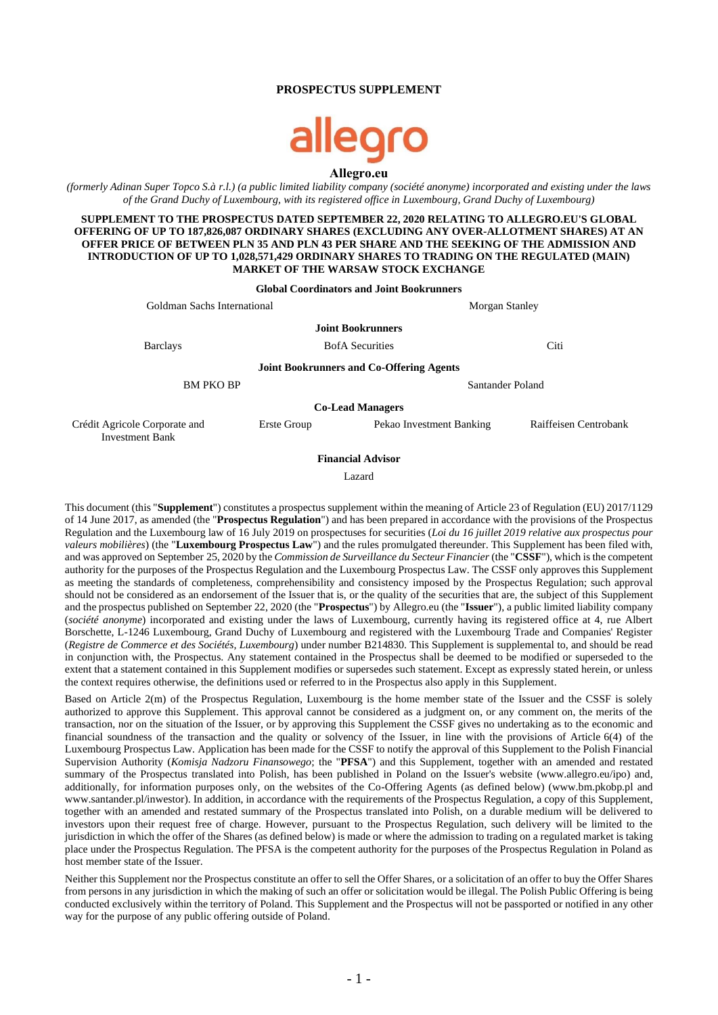### **PROSPECTUS SUPPLEMENT**

# llegro **Allegro.eu**

*(formerly Adinan Super Topco S.à r.l.) (a public limited liability company (société anonyme) incorporated and existing under the laws of the Grand Duchy of Luxembourg, with its registered office in Luxembourg, Grand Duchy of Luxembourg)*

**SUPPLEMENT TO THE PROSPECTUS DATED SEPTEMBER 22, 2020 RELATING TO ALLEGRO.EU'S GLOBAL OFFERING OF UP TO 187,826,087 ORDINARY SHARES (EXCLUDING ANY OVER-ALLOTMENT SHARES) AT AN OFFER PRICE OF BETWEEN PLN 35 AND PLN 43 PER SHARE AND THE SEEKING OF THE ADMISSION AND INTRODUCTION OF UP TO 1,028,571,429 ORDINARY SHARES TO TRADING ON THE REGULATED (MAIN) MARKET OF THE WARSAW STOCK EXCHANGE**

|                                                         |             | <b>Global Coordinators and Joint Bookrunners</b> |                       |  |  |  |
|---------------------------------------------------------|-------------|--------------------------------------------------|-----------------------|--|--|--|
| Goldman Sachs International                             |             | Morgan Stanley                                   |                       |  |  |  |
|                                                         |             | <b>Joint Bookrunners</b>                         |                       |  |  |  |
| <b>Barclays</b>                                         |             | <b>BofA</b> Securities                           | Citi                  |  |  |  |
|                                                         |             | <b>Joint Bookrunners and Co-Offering Agents</b>  |                       |  |  |  |
| <b>BM PKO BP</b>                                        |             |                                                  | Santander Poland      |  |  |  |
| <b>Co-Lead Managers</b>                                 |             |                                                  |                       |  |  |  |
| Crédit Agricole Corporate and<br><b>Investment Bank</b> | Erste Group | Pekao Investment Banking                         | Raiffeisen Centrobank |  |  |  |

**Financial Advisor**

Lazard

This document (this "**Supplement**") constitutes a prospectus supplement within the meaning of Article 23 of Regulation (EU) 2017/1129 of 14 June 2017, as amended (the "**Prospectus Regulation**") and has been prepared in accordance with the provisions of the Prospectus Regulation and the Luxembourg law of 16 July 2019 on prospectuses for securities (*Loi du 16 juillet 2019 relative aux prospectus pour valeurs mobilières*) (the "**Luxembourg Prospectus Law**") and the rules promulgated thereunder. This Supplement has been filed with, and was approved on September 25, 2020 by the *Commission de Surveillance du Secteur Financier* (the "**CSSF**"), which is the competent authority for the purposes of the Prospectus Regulation and the Luxembourg Prospectus Law. The CSSF only approves this Supplement as meeting the standards of completeness, comprehensibility and consistency imposed by the Prospectus Regulation; such approval should not be considered as an endorsement of the Issuer that is, or the quality of the securities that are, the subject of this Supplement and the prospectus published on September 22, 2020 (the "**Prospectus**") by Allegro.eu (the "**Issuer**"), a public limited liability company (*société anonyme*) incorporated and existing under the laws of Luxembourg, currently having its registered office at 4, rue Albert Borschette, L-1246 Luxembourg, Grand Duchy of Luxembourg and registered with the Luxembourg Trade and Companies' Register (*Registre de Commerce et des Sociétés, Luxembourg*) under number B214830. This Supplement is supplemental to, and should be read in conjunction with, the Prospectus. Any statement contained in the Prospectus shall be deemed to be modified or superseded to the extent that a statement contained in this Supplement modifies or supersedes such statement. Except as expressly stated herein, or unless the context requires otherwise, the definitions used or referred to in the Prospectus also apply in this Supplement.

Based on Article 2(m) of the Prospectus Regulation, Luxembourg is the home member state of the Issuer and the CSSF is solely authorized to approve this Supplement. This approval cannot be considered as a judgment on, or any comment on, the merits of the transaction, nor on the situation of the Issuer, or by approving this Supplement the CSSF gives no undertaking as to the economic and financial soundness of the transaction and the quality or solvency of the Issuer, in line with the provisions of Article 6(4) of the Luxembourg Prospectus Law. Application has been made for the CSSF to notify the approval of this Supplement to the Polish Financial Supervision Authority (*Komisja Nadzoru Finansowego*; the "**PFSA**") and this Supplement, together with an amended and restated summary of the Prospectus translated into Polish, has been published in Poland on the Issuer's website (www.allegro.eu/ipo) and, additionally, for information purposes only, on the websites of the Co-Offering Agents (as defined below) (www.bm.pkobp.pl and www.santander.pl/inwestor). In addition, in accordance with the requirements of the Prospectus Regulation, a copy of this Supplement, together with an amended and restated summary of the Prospectus translated into Polish, on a durable medium will be delivered to investors upon their request free of charge. However, pursuant to the Prospectus Regulation, such delivery will be limited to the jurisdiction in which the offer of the Shares (as defined below) is made or where the admission to trading on a regulated market is taking place under the Prospectus Regulation. The PFSA is the competent authority for the purposes of the Prospectus Regulation in Poland as host member state of the Issuer.

Neither this Supplement nor the Prospectus constitute an offer to sell the Offer Shares, or a solicitation of an offer to buy the Offer Shares from persons in any jurisdiction in which the making of such an offer or solicitation would be illegal. The Polish Public Offering is being conducted exclusively within the territory of Poland. This Supplement and the Prospectus will not be passported or notified in any other way for the purpose of any public offering outside of Poland.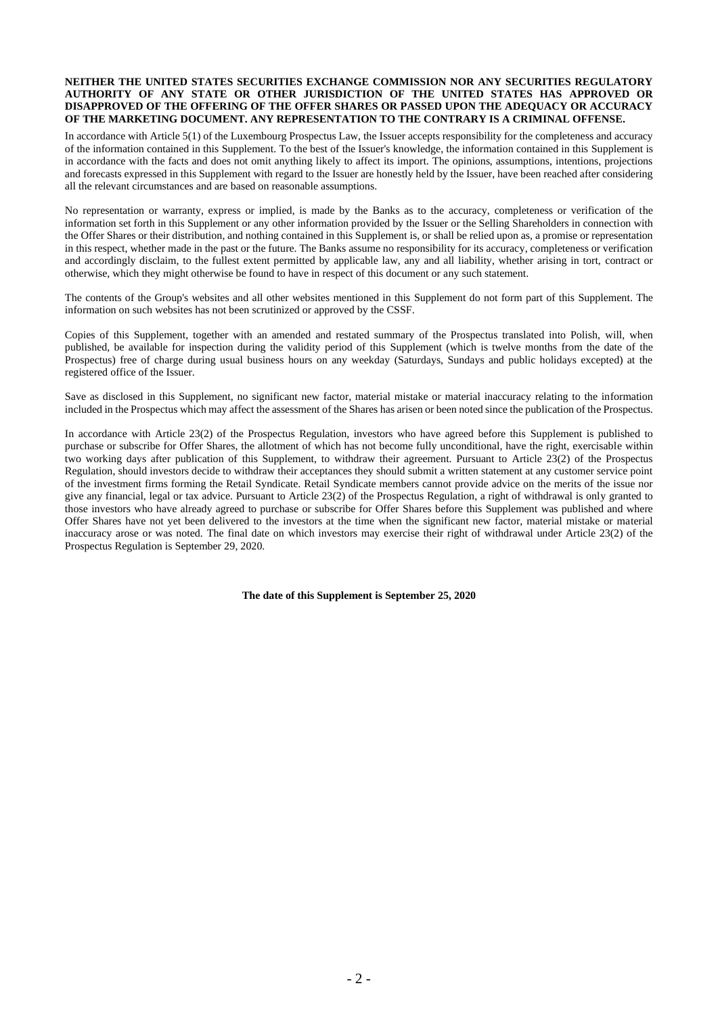#### **NEITHER THE UNITED STATES SECURITIES EXCHANGE COMMISSION NOR ANY SECURITIES REGULATORY AUTHORITY OF ANY STATE OR OTHER JURISDICTION OF THE UNITED STATES HAS APPROVED OR DISAPPROVED OF THE OFFERING OF THE OFFER SHARES OR PASSED UPON THE ADEQUACY OR ACCURACY OF THE MARKETING DOCUMENT. ANY REPRESENTATION TO THE CONTRARY IS A CRIMINAL OFFENSE.**

In accordance with Article 5(1) of the Luxembourg Prospectus Law, the Issuer accepts responsibility for the completeness and accuracy of the information contained in this Supplement. To the best of the Issuer's knowledge, the information contained in this Supplement is in accordance with the facts and does not omit anything likely to affect its import. The opinions, assumptions, intentions, projections and forecasts expressed in this Supplement with regard to the Issuer are honestly held by the Issuer, have been reached after considering all the relevant circumstances and are based on reasonable assumptions.

No representation or warranty, express or implied, is made by the Banks as to the accuracy, completeness or verification of the information set forth in this Supplement or any other information provided by the Issuer or the Selling Shareholders in connection with the Offer Shares or their distribution, and nothing contained in this Supplement is, or shall be relied upon as, a promise or representation in this respect, whether made in the past or the future. The Banks assume no responsibility for its accuracy, completeness or verification and accordingly disclaim, to the fullest extent permitted by applicable law, any and all liability, whether arising in tort, contract or otherwise, which they might otherwise be found to have in respect of this document or any such statement.

The contents of the Group's websites and all other websites mentioned in this Supplement do not form part of this Supplement. The information on such websites has not been scrutinized or approved by the CSSF.

Copies of this Supplement, together with an amended and restated summary of the Prospectus translated into Polish, will, when published, be available for inspection during the validity period of this Supplement (which is twelve months from the date of the Prospectus) free of charge during usual business hours on any weekday (Saturdays, Sundays and public holidays excepted) at the registered office of the Issuer.

Save as disclosed in this Supplement, no significant new factor, material mistake or material inaccuracy relating to the information included in the Prospectus which may affect the assessment of the Shares has arisen or been noted since the publication of the Prospectus.

In accordance with Article 23(2) of the Prospectus Regulation, investors who have agreed before this Supplement is published to purchase or subscribe for Offer Shares, the allotment of which has not become fully unconditional, have the right, exercisable within two working days after publication of this Supplement, to withdraw their agreement. Pursuant to Article 23(2) of the Prospectus Regulation, should investors decide to withdraw their acceptances they should submit a written statement at any customer service point of the investment firms forming the Retail Syndicate. Retail Syndicate members cannot provide advice on the merits of the issue nor give any financial, legal or tax advice. Pursuant to Article 23(2) of the Prospectus Regulation, a right of withdrawal is only granted to those investors who have already agreed to purchase or subscribe for Offer Shares before this Supplement was published and where Offer Shares have not yet been delivered to the investors at the time when the significant new factor, material mistake or material inaccuracy arose or was noted. The final date on which investors may exercise their right of withdrawal under Article 23(2) of the Prospectus Regulation is September 29, 2020.

**The date of this Supplement is September 25, 2020**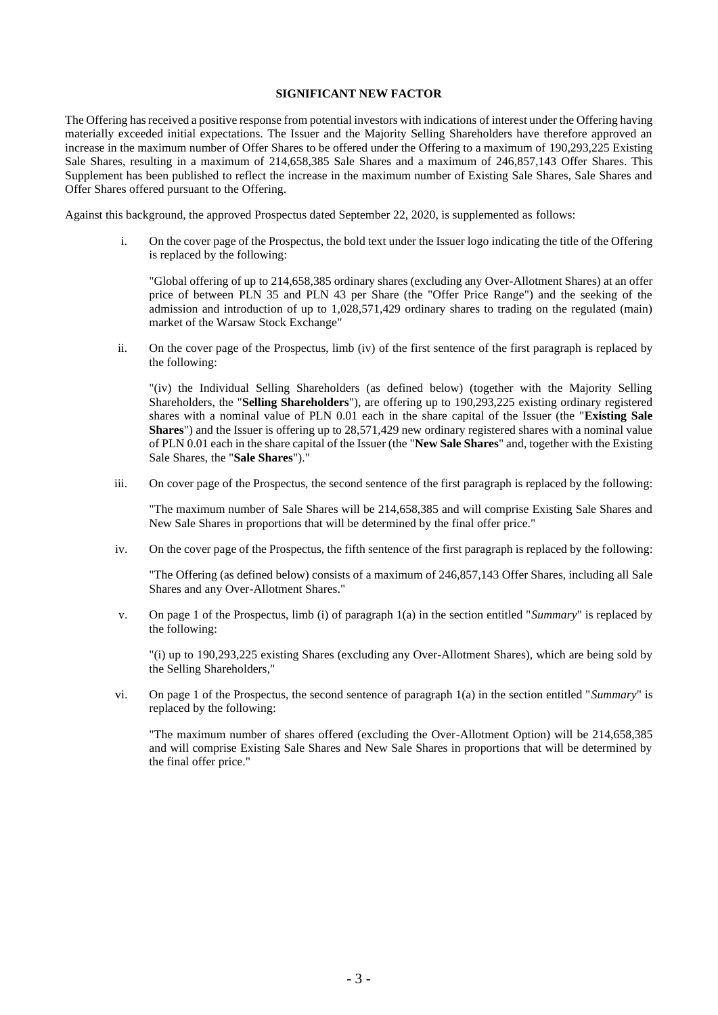## **SIGNIFICANT NEW FACTOR**

The Offering has received a positive response from potential investors with indications of interest under the Offering having materially exceeded initial expectations. The Issuer and the Majority Selling Shareholders have therefore approved an increase in the maximum number of Offer Shares to be offered under the Offering to a maximum of 190,293,225 Existing Sale Shares, resulting in a maximum of 214,658,385 Sale Shares and a maximum of 246,857,143 Offer Shares. This Supplement has been published to reflect the increase in the maximum number of Existing Sale Shares, Sale Shares and Offer Shares offered pursuant to the Offering.

Against this background, the approved Prospectus dated September 22, 2020, is supplemented as follows:

i. On the cover page of the Prospectus, the bold text under the Issuer logo indicating the title of the Offering is replaced by the following:

"Global offering of up to 214,658,385 ordinary shares (excluding any Over-Allotment Shares) at an offer price of between PLN 35 and PLN 43 per Share (the "Offer Price Range") and the seeking of the admission and introduction of up to 1,028,571,429 ordinary shares to trading on the regulated (main) market of the Warsaw Stock Exchange"

ii. On the cover page of the Prospectus, limb (iv) of the first sentence of the first paragraph is replaced by the following:

"(iv) the Individual Selling Shareholders (as defined below) (together with the Majority Selling Shareholders, the "**Selling Shareholders**"), are offering up to 190,293,225 existing ordinary registered shares with a nominal value of PLN 0.01 each in the share capital of the Issuer (the "**Existing Sale Shares**") and the Issuer is offering up to 28,571,429 new ordinary registered shares with a nominal value of PLN 0.01 each in the share capital of the Issuer (the "**New Sale Shares**" and, together with the Existing Sale Shares, the "**Sale Shares**")."

iii. On cover page of the Prospectus, the second sentence of the first paragraph is replaced by the following:

"The maximum number of Sale Shares will be 214,658,385 and will comprise Existing Sale Shares and New Sale Shares in proportions that will be determined by the final offer price."

iv. On the cover page of the Prospectus, the fifth sentence of the first paragraph is replaced by the following:

"The Offering (as defined below) consists of a maximum of 246,857,143 Offer Shares, including all Sale Shares and any Over-Allotment Shares."

v. On page 1 of the Prospectus, limb (i) of paragraph 1(a) in the section entitled "*Summary*" is replaced by the following:

"(i) up to 190,293,225 existing Shares (excluding any Over-Allotment Shares), which are being sold by the Selling Shareholders,"

vi. On page 1 of the Prospectus, the second sentence of paragraph 1(a) in the section entitled "*Summary*" is replaced by the following:

"The maximum number of shares offered (excluding the Over-Allotment Option) will be 214,658,385 and will comprise Existing Sale Shares and New Sale Shares in proportions that will be determined by the final offer price."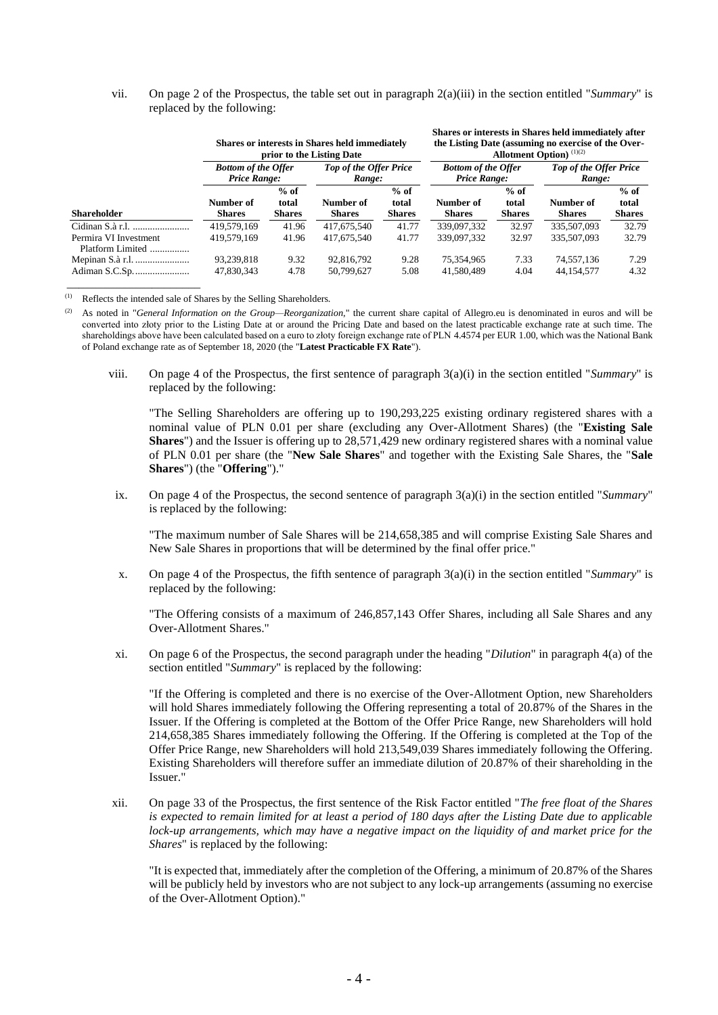|                                           | <b>Shares or interests in Shares held immediately</b><br>prior to the Listing Date |                                  |                                         |                                  | Shares or interests in Shares held immediately after<br>the Listing Date (assuming no exercise of the Over-<br><b>Allotment Option</b> ) $(1)(2)$ |                                  |                                         |                                  |
|-------------------------------------------|------------------------------------------------------------------------------------|----------------------------------|-----------------------------------------|----------------------------------|---------------------------------------------------------------------------------------------------------------------------------------------------|----------------------------------|-----------------------------------------|----------------------------------|
| <b>Shareholder</b>                        | <b>Bottom of the Offer</b><br><b>Price Range:</b>                                  |                                  | <b>Top of the Offer Price</b><br>Range: |                                  | <b>Bottom of the Offer</b><br><b>Price Range:</b>                                                                                                 |                                  | <b>Top of the Offer Price</b><br>Range: |                                  |
|                                           | Number of<br><b>Shares</b>                                                         | $%$ of<br>total<br><b>Shares</b> | Number of<br><b>Shares</b>              | $%$ of<br>total<br><b>Shares</b> | Number of<br><b>Shares</b>                                                                                                                        | $%$ of<br>total<br><b>Shares</b> | Number of<br><b>Shares</b>              | $%$ of<br>total<br><b>Shares</b> |
|                                           | 419.579.169                                                                        | 41.96                            | 417,675,540                             | 41.77                            | 339,097,332                                                                                                                                       | 32.97                            | 335,507,093                             | 32.79                            |
| Permira VI Investment<br>Platform Limited | 419.579.169                                                                        | 41.96                            | 417,675,540                             | 41.77                            | 339,097,332                                                                                                                                       | 32.97                            | 335,507,093                             | 32.79                            |
| Mepinan S.à r.l.                          | 93,239,818                                                                         | 9.32                             | 92,816,792                              | 9.28                             | 75,354,965                                                                                                                                        | 7.33                             | 74,557,136                              | 7.29                             |
|                                           | 47.830.343                                                                         | 4.78                             | 50.799.627                              | 5.08                             | 41.580.489                                                                                                                                        | 4.04                             | 44.154.577                              | 4.32                             |

vii. On page 2 of the Prospectus, the table set out in paragraph 2(a)(iii) in the section entitled "*Summary*" is replaced by the following:

(1) Reflects the intended sale of Shares by the Selling Shareholders.

\_\_\_\_\_\_\_\_\_\_\_\_\_\_\_\_\_\_\_\_\_\_

(2) As noted in "*General Information on the Group—Reorganization*," the current share capital of Allegro.eu is denominated in euros and will be converted into złoty prior to the Listing Date at or around the Pricing Date and based on the latest practicable exchange rate at such time. The shareholdings above have been calculated based on a euro to złoty foreign exchange rate of PLN 4.4574 per EUR 1.00, which was the National Bank of Poland exchange rate as of September 18, 2020 (the "**Latest Practicable FX Rate**").

viii. On page 4 of the Prospectus, the first sentence of paragraph 3(a)(i) in the section entitled "*Summary*" is replaced by the following:

"The Selling Shareholders are offering up to 190,293,225 existing ordinary registered shares with a nominal value of PLN 0.01 per share (excluding any Over-Allotment Shares) (the "**Existing Sale Shares**") and the Issuer is offering up to 28,571,429 new ordinary registered shares with a nominal value of PLN 0.01 per share (the "**New Sale Shares**" and together with the Existing Sale Shares, the "**Sale Shares**") (the "**Offering**")."

ix. On page 4 of the Prospectus, the second sentence of paragraph 3(a)(i) in the section entitled "*Summary*" is replaced by the following:

"The maximum number of Sale Shares will be 214,658,385 and will comprise Existing Sale Shares and New Sale Shares in proportions that will be determined by the final offer price."

x. On page 4 of the Prospectus, the fifth sentence of paragraph 3(a)(i) in the section entitled "*Summary*" is replaced by the following:

"The Offering consists of a maximum of 246,857,143 Offer Shares, including all Sale Shares and any Over-Allotment Shares."

xi. On page 6 of the Prospectus, the second paragraph under the heading "*Dilution*" in paragraph 4(a) of the section entitled "*Summary*" is replaced by the following:

"If the Offering is completed and there is no exercise of the Over-Allotment Option, new Shareholders will hold Shares immediately following the Offering representing a total of 20.87% of the Shares in the Issuer. If the Offering is completed at the Bottom of the Offer Price Range, new Shareholders will hold 214,658,385 Shares immediately following the Offering. If the Offering is completed at the Top of the Offer Price Range, new Shareholders will hold 213,549,039 Shares immediately following the Offering. Existing Shareholders will therefore suffer an immediate dilution of 20.87% of their shareholding in the Issuer."

xii. On page 33 of the Prospectus, the first sentence of the Risk Factor entitled "*The free float of the Shares is expected to remain limited for at least a period of 180 days after the Listing Date due to applicable lock-up arrangements, which may have a negative impact on the liquidity of and market price for the Shares*" is replaced by the following:

"It is expected that, immediately after the completion of the Offering, a minimum of 20.87% of the Shares will be publicly held by investors who are not subject to any lock-up arrangements (assuming no exercise of the Over-Allotment Option)."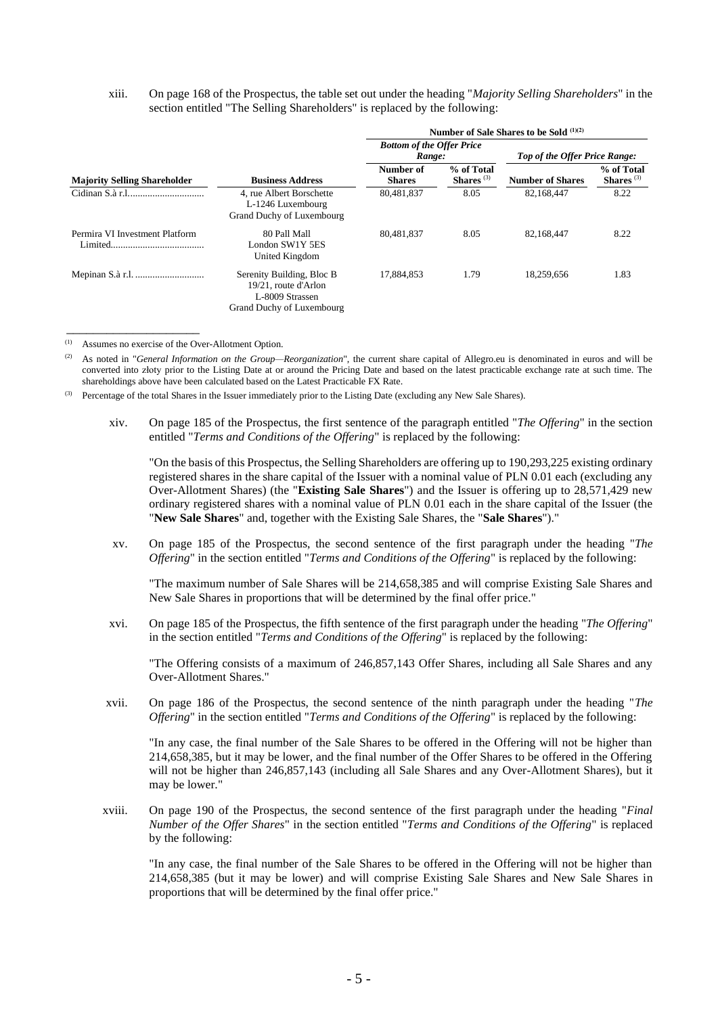### xiii. On page 168 of the Prospectus, the table set out under the heading "*Majority Selling Shareholders*" in the section entitled "The Selling Shareholders" is replaced by the following:

|                                     |                                                                                                    | Number of Sale Shares to be Sold $(1)(2)$  |                            |                                      |                            |  |
|-------------------------------------|----------------------------------------------------------------------------------------------------|--------------------------------------------|----------------------------|--------------------------------------|----------------------------|--|
|                                     |                                                                                                    | <b>Bottom of the Offer Price</b><br>Range: |                            | <b>Top of the Offer Price Range:</b> |                            |  |
| <b>Majority Selling Shareholder</b> | <b>Business Address</b>                                                                            | Number of<br><b>Shares</b>                 | % of Total<br>Shares $(3)$ | <b>Number of Shares</b>              | % of Total<br>Shares $(3)$ |  |
|                                     | 4. rue Albert Borschette<br>L-1246 Luxembourg<br>Grand Duchy of Luxembourg                         | 80.481.837                                 | 8.05                       | 82.168.447                           | 8.22                       |  |
| Permira VI Investment Platform      | 80 Pall Mall<br>London SW1Y 5ES<br>United Kingdom                                                  | 80,481,837                                 | 8.05                       | 82.168.447                           | 8.22                       |  |
|                                     | Serenity Building, Bloc B.<br>19/21, route d'Arlon<br>L-8009 Strassen<br>Grand Duchy of Luxembourg | 17.884.853                                 | 1.79                       | 18.259.656                           | 1.83                       |  |

(1) Assumes no exercise of the Over-Allotment Option.

\_\_\_\_\_\_\_\_\_\_\_\_\_\_\_\_\_\_\_\_

(2) As noted in "*General Information on the Group—Reorganization*", the current share capital of Allegro.eu is denominated in euros and will be converted into złoty prior to the Listing Date at or around the Pricing Date and based on the latest practicable exchange rate at such time. The shareholdings above have been calculated based on the Latest Practicable FX Rate.

(3) Percentage of the total Shares in the Issuer immediately prior to the Listing Date (excluding any New Sale Shares).

xiv. On page 185 of the Prospectus, the first sentence of the paragraph entitled "*The Offering*" in the section entitled "*Terms and Conditions of the Offering*" is replaced by the following:

"On the basis of this Prospectus, the Selling Shareholders are offering up to 190,293,225 existing ordinary registered shares in the share capital of the Issuer with a nominal value of PLN 0.01 each (excluding any Over-Allotment Shares) (the "**Existing Sale Shares**") and the Issuer is offering up to 28,571,429 new ordinary registered shares with a nominal value of PLN 0.01 each in the share capital of the Issuer (the "**New Sale Shares**" and, together with the Existing Sale Shares, the "**Sale Shares**")."

xv. On page 185 of the Prospectus, the second sentence of the first paragraph under the heading "*The Offering*" in the section entitled "*Terms and Conditions of the Offering*" is replaced by the following:

"The maximum number of Sale Shares will be 214,658,385 and will comprise Existing Sale Shares and New Sale Shares in proportions that will be determined by the final offer price."

xvi. On page 185 of the Prospectus, the fifth sentence of the first paragraph under the heading "*The Offering*" in the section entitled "*Terms and Conditions of the Offering*" is replaced by the following:

"The Offering consists of a maximum of 246,857,143 Offer Shares, including all Sale Shares and any Over-Allotment Shares."

xvii. On page 186 of the Prospectus, the second sentence of the ninth paragraph under the heading "*The Offering*" in the section entitled "*Terms and Conditions of the Offering*" is replaced by the following:

"In any case, the final number of the Sale Shares to be offered in the Offering will not be higher than 214,658,385, but it may be lower, and the final number of the Offer Shares to be offered in the Offering will not be higher than 246,857,143 (including all Sale Shares and any Over-Allotment Shares), but it may be lower."

xviii. On page 190 of the Prospectus, the second sentence of the first paragraph under the heading "*Final Number of the Offer Shares*" in the section entitled "*Terms and Conditions of the Offering*" is replaced by the following:

"In any case, the final number of the Sale Shares to be offered in the Offering will not be higher than 214,658,385 (but it may be lower) and will comprise Existing Sale Shares and New Sale Shares in proportions that will be determined by the final offer price."